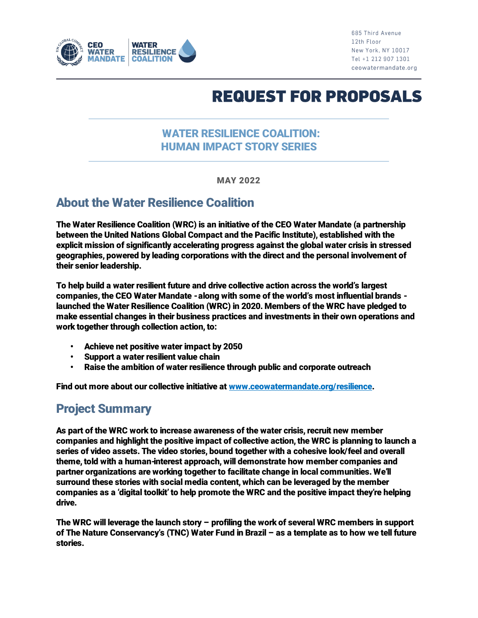

685 Third Avenue 12th Floor New York, NY 10017 Tel +1 212 907 1301 ceowatermandate.org

# **REQUEST FOR PROPOSALS**

#### WATER RESILIENCE COALITION: HUMAN IMPACT STORY SERIES

MAY 2022

## About the Water Resilience Coalition

The Water Resilience Coalition (WRC) is an initiative of the CEO Water Mandate (a partnership between the United Nations Global Compact and the Pacific Institute), established with the explicit mission of significantly accelerating progress against the global water crisis in stressed geographies, powered by leading corporations with the direct and the personal involvement of their senior leadership.

To help build a water resilient future and drive collective action across the world's largest companies, the CEO Water Mandate -along with some of the world's most influential brands launched the Water Resilience Coalition (WRC) in 2020. Members of the WRC have pledged to make essential changes in their business practices and investments in their own operations and work together through collection action, to:

- Achieve net positive water impact by 2050
- Support a water resilient value chain
- Raise the ambition of water resilience through public and corporate outreach

Find out more about our collective initiative at [www.ceowatermandate.org/resilience.](http://www.ceowatermandate.org/resilience)

#### Project Summary

As part of the WRC work to increase awareness of the water crisis, recruit new member companies and highlight the positive impact of collective action, the WRC is planning to launch a series of video assets. The video stories, bound together with a cohesive look/feel and overall theme, told with a human-interest approach, will demonstrate how member companies and partner organizations are working together to facilitate change in local communities. We'll surround these stories with social media content, which can be leveraged by the member companies as a 'digital toolkit' to help promote the WRC and the positive impact they're helping drive.

The WRC will leverage the launch story – profiling the work of several WRC members in support of The Nature Conservancy's (TNC) Water Fund in Brazil – as a template as to how we tell future stories.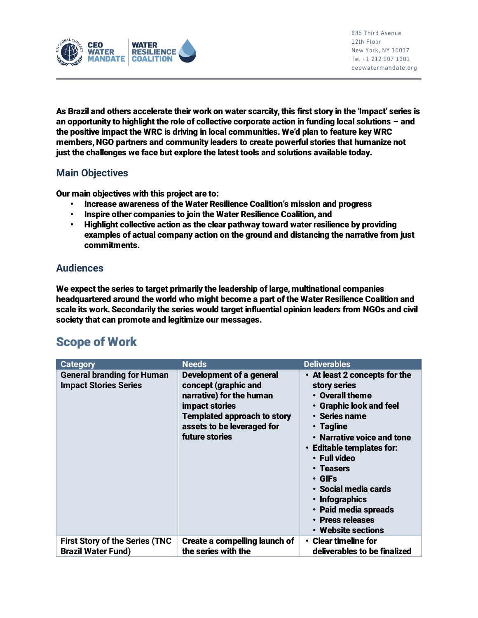

As Brazil and others accelerate their work on water scarcity, this first story in the 'Impact' series is an opportunity to highlight the role of collective corporate action in funding local solutions – and the positive impact the WRC is driving in local communities. We'd plan to feature key WRC members, NGO partners and community leaders to create powerful stories that humanize not just the challenges we face but explore the latest tools and solutions available today.

#### Main Objectives

Our main objectives with this project are to:

- Increase awareness of the Water Resilience Coalition's mission and progress
- Inspire other companies to join the Water Resilience Coalition, and
- Highlight collective action as the clear pathway toward water resilience by providing examples of actual company action on the ground and distancing the narrative from just commitments.

#### Audiences

We expect the series to target primarily the leadership of large, multinational companies headquartered around the world who might become a part of the Water Resilience Coalition and scale its work. Secondarily the series would target influential opinion leaders from NGOs and civil society that can promote and legitimize our messages.

# Scope of Work

| <b>Category</b>                                                    | <b>Needs</b>                                                                                                                                                                         | <b>Deliverables</b>                                                                                                                                                                                                                                                                                                                                       |
|--------------------------------------------------------------------|--------------------------------------------------------------------------------------------------------------------------------------------------------------------------------------|-----------------------------------------------------------------------------------------------------------------------------------------------------------------------------------------------------------------------------------------------------------------------------------------------------------------------------------------------------------|
| <b>General branding for Human</b><br><b>Impact Stories Series</b>  | Development of a general<br>concept (graphic and<br>narrative) for the human<br>impact stories<br><b>Templated approach to story</b><br>assets to be leveraged for<br>future stories | • At least 2 concepts for the<br>story series<br>• Overall theme<br>• Graphic look and feel<br>• Series name<br>$\cdot$ Tagline<br>• Narrative voice and tone<br>• Editable templates for:<br>• Full video<br>• Teasers<br>$\cdot$ GIFs<br>• Social media cards<br>$\cdot$ Infographics<br>• Paid media spreads<br>• Press releases<br>• Website sections |
| <b>First Story of the Series (TNC</b><br><b>Brazil Water Fund)</b> | Create a compelling launch of<br>the series with the                                                                                                                                 | $\cdot$ Clear timeline for<br>deliverables to be finalized                                                                                                                                                                                                                                                                                                |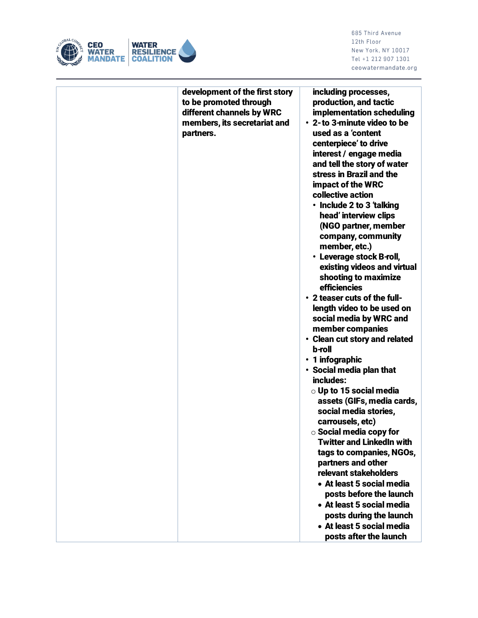

685 Third Avenue 12th Floor New York, NY 10017 Tel +1 212 907 1301 ceowatermandate.org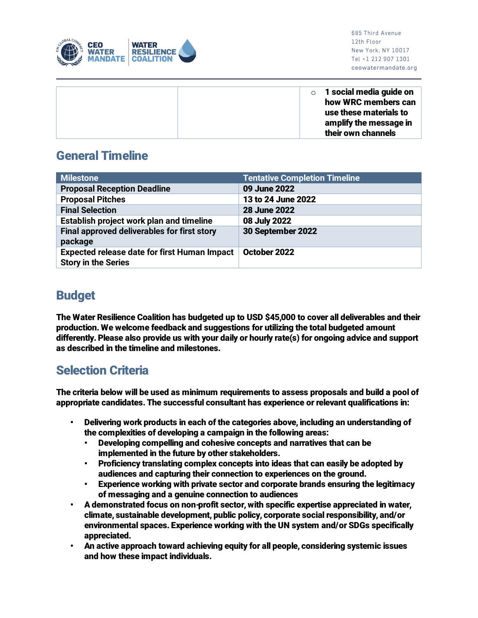

 $\circ$  1 social media guide on how WRC members can use these materials to amplify the message in their own channels

# General Timeline

| <b>Milestone</b>                                                                  | <b>Tentative Completion Timeline</b> |
|-----------------------------------------------------------------------------------|--------------------------------------|
| <b>Proposal Reception Deadline</b>                                                | 09 June 2022                         |
| <b>Proposal Pitches</b>                                                           | 13 to 24 June 2022                   |
| <b>Final Selection</b>                                                            | <b>28 June 2022</b>                  |
| Establish project work plan and timeline                                          | 08 July 2022                         |
| Final approved deliverables for first story<br>package                            | 30 September 2022                    |
| <b>Expected release date for first Human Impact</b><br><b>Story in the Series</b> | October 2022                         |

## Budget

The Water Resilience Coalition has budgeted up to USD \$45,000 to cover all deliverables and their production. We welcome feedback and suggestions for utilizing the total budgeted amount differently. Please also provide us with your daily or hourly rate(s) for ongoing advice and support as described in the timeline and milestones.

# Selection Criteria

The criteria below will be used as minimum requirements to assess proposals and build a pool of appropriate candidates. The successful consultant has experience or relevant qualifications in:

- Delivering work products in each of the categories above, including an understanding of the complexities of developing a campaign in the following areas:
	- Developing compelling and cohesive concepts and narratives that can be implemented in the future by other stakeholders.
	- Proficiency translating complex concepts into ideas that can easily be adopted by audiences and capturing their connection to experiences on the ground.
	- Experience working with private sector and corporate brands ensuring the legitimacy of messaging and a genuine connection to audiences
- A demonstrated focus on non-profit sector, with specific expertise appreciated in water, climate, sustainable development, public policy, corporate social responsibility, and/or environmental spaces. Experience working with the UN system and/or SDGs specifically appreciated.
- An active approach toward achieving equity for all people, considering systemic issues and how these impact individuals.